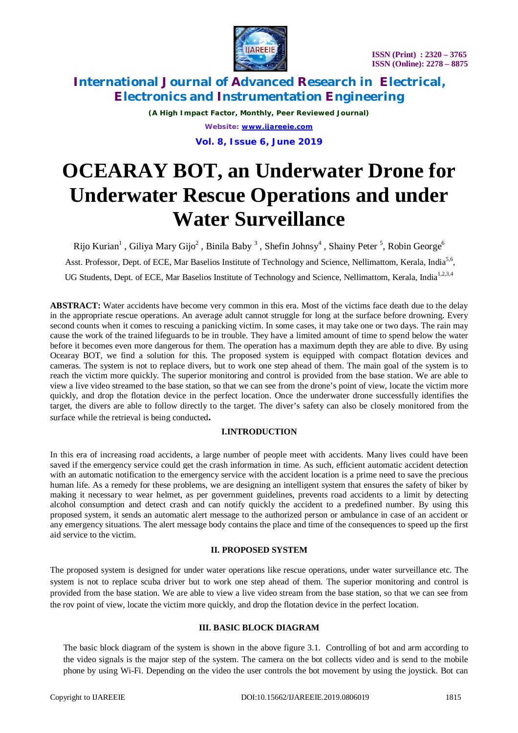

*(A High Impact Factor, Monthly, Peer Reviewed Journal) Website: [www.ijareeie.com](http://www.ijareeie.com)*

**Vol. 8, Issue 6, June 2019**

# **OCEARAY BOT, an Underwater Drone for Underwater Rescue Operations and under Water Surveillance**

Rijo Kurian $^1$  , Giliya Mary Gijo $^2$  , Binila Baby  $^3$  , Shefin Johnsy $^4$  , Shainy Peter  $^5$ , Robin George $^6$ Asst. Professor, Dept. of ECE, Mar Baselios Institute of Technology and Science, Nellimattom, Kerala, India<sup>5,6</sup>, UG Students, Dept. of ECE, Mar Baselios Institute of Technology and Science, Nellimattom, Kerala, India<sup>1,2,3,4</sup>

**ABSTRACT:** Water accidents have become very common in this era. Most of the victims face death due to the delay in the appropriate rescue operations. An average adult cannot struggle for long at the surface before drowning. Every second counts when it comes to rescuing a panicking victim. In some cases, it may take one or two days. The rain may cause the work of the trained lifeguards to be in trouble. They have a limited amount of time to spend below the water before it becomes even more dangerous for them. The operation has a maximum depth they are able to dive. By using Ocearay BOT, we find a solution for this. The proposed system is equipped with compact flotation devices and cameras. The system is not to replace divers, but to work one step ahead of them. The main goal of the system is to reach the victim more quickly. The superior monitoring and control is provided from the base station. We are able to view a live video streamed to the base station, so that we can see from the drone's point of view, locate the victim more quickly, and drop the flotation device in the perfect location. Once the underwater drone successfully identifies the target, the divers are able to follow directly to the target. The diver's safety can also be closely monitored from the surface while the retrieval is being conducted**.**

# **I.INTRODUCTION**

In this era of increasing road accidents, a large number of people meet with accidents. Many lives could have been saved if the emergency service could get the crash information in time. As such, efficient automatic accident detection with an automatic notification to the emergency service with the accident location is a prime need to save the precious human life. As a remedy for these problems, we are designing an intelligent system that ensures the safety of biker by making it necessary to wear helmet, as per government guidelines, prevents road accidents to a limit by detecting alcohol consumption and detect crash and can notify quickly the accident to a predefined number. By using this proposed system, it sends an automatic alert message to the authorized person or ambulance in case of an accident or any emergency situations. The alert message body contains the place and time of the consequences to speed up the first aid service to the victim.

# **II. PROPOSED SYSTEM**

The proposed system is designed for under water operations like rescue operations, under water surveillance etc. The system is not to replace scuba driver but to work one step ahead of them. The superior monitoring and control is provided from the base station. We are able to view a live video stream from the base station, so that we can see from the rov point of view, locate the victim more quickly, and drop the flotation device in the perfect location.

### **III. BASIC BLOCK DIAGRAM**

The basic block diagram of the system is shown in the above figure 3.1. Controlling of bot and arm according to the video signals is the major step of the system. The camera on the bot collects video and is send to the mobile phone by using Wi-Fi. Depending on the video the user controls the bot movement by using the joystick. Bot can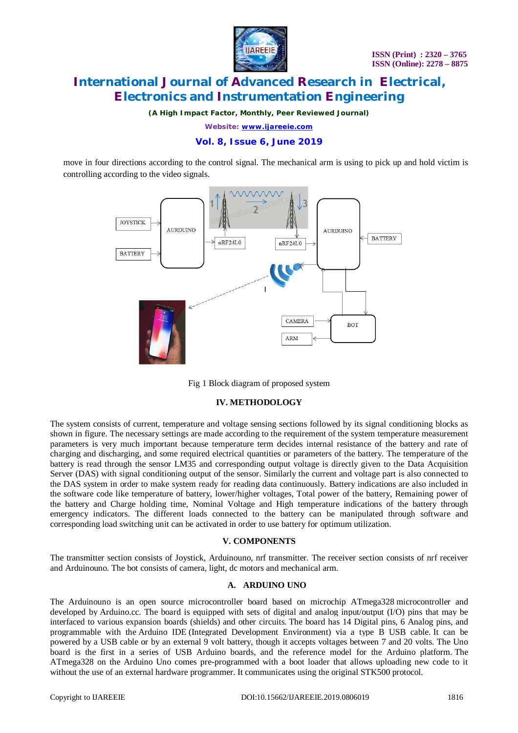

*(A High Impact Factor, Monthly, Peer Reviewed Journal)*

*Website: [www.ijareeie.com](http://www.ijareeie.com)*

# **Vol. 8, Issue 6, June 2019**

move in four directions according to the control signal. The mechanical arm is using to pick up and hold victim is controlling according to the video signals.



Fig 1 Block diagram of proposed system

### **IV. METHODOLOGY**

The system consists of current, temperature and voltage sensing sections followed by its signal conditioning blocks as shown in figure. The necessary settings are made according to the requirement of the system temperature measurement parameters is very much important because temperature term decides internal resistance of the battery and rate of charging and discharging, and some required electrical quantities or parameters of the battery. The temperature of the battery is read through the sensor LM35 and corresponding output voltage is directly given to the Data Acquisition Server (DAS) with signal conditioning output of the sensor. Similarly the current and voltage part is also connected to the DAS system in order to make system ready for reading data continuously. Battery indications are also included in the software code like temperature of battery, lower/higher voltages, Total power of the battery, Remaining power of the battery and Charge holding time, Nominal Voltage and High temperature indications of the battery through emergency indicators. The different loads connected to the battery can be manipulated through software and corresponding load switching unit can be activated in order to use battery for optimum utilization.

### **V. COMPONENTS**

The transmitter section consists of Joystick, Arduinouno, nrf transmitter. The receiver section consists of nrf receiver and Arduinouno. The bot consists of camera, light, dc motors and mechanical arm.

### **A. ARDUINO UNO**

The Arduinouno is an open source microcontroller board based on microchip ATmega328 microcontroller and developed by Arduino.cc. The board is equipped with sets of digital and analog input/output (I/O) pins that may be interfaced to various expansion boards (shields) and other circuits. The board has 14 Digital pins, 6 Analog pins, and programmable with the Arduino IDE (Integrated Development Environment) via a type B USB cable. It can be powered by a USB cable or by an external 9 volt battery, though it accepts voltages between 7 and 20 volts. The Uno board is the first in a series of USB Arduino boards, and the reference model for the Arduino platform. The ATmega328 on the Arduino Uno comes pre-programmed with a boot loader that allows uploading new code to it without the use of an external hardware programmer. It communicates using the original STK500 protocol.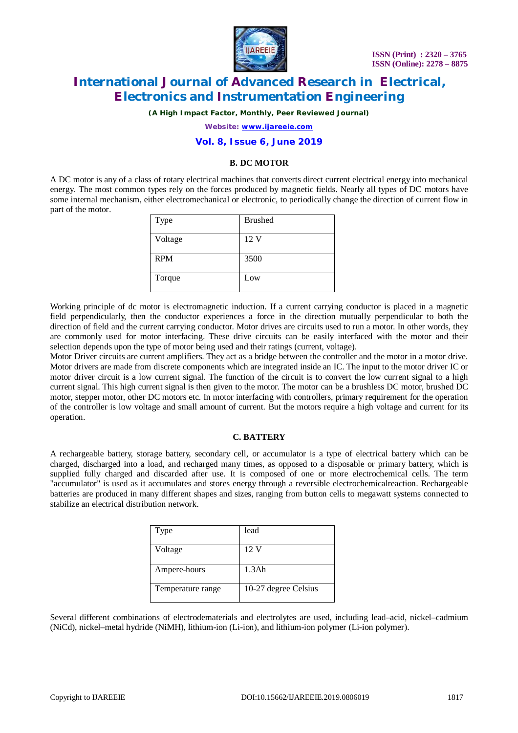

*(A High Impact Factor, Monthly, Peer Reviewed Journal)*

*Website: [www.ijareeie.com](http://www.ijareeie.com)*

### **Vol. 8, Issue 6, June 2019**

### **B. DC MOTOR**

A DC motor is any of a class of rotary electrical machines that converts direct current electrical energy into mechanical energy. The most common types rely on the forces produced by magnetic fields. Nearly all types of DC motors have some internal mechanism, either electromechanical or electronic, to periodically change the direction of current flow in part of the motor.

| Type       | <b>Brushed</b> |
|------------|----------------|
| Voltage    | 12 V           |
| <b>RPM</b> | 3500           |
| Torque     | Low            |

Working principle of dc motor is electromagnetic induction. If a current carrying conductor is placed in a magnetic field perpendicularly, then the conductor experiences a force in the direction mutually perpendicular to both the direction of field and the current carrying conductor. Motor drives are circuits used to run a motor. In other words, they are commonly used for motor interfacing. These drive circuits can be easily interfaced with the motor and their selection depends upon the type of motor being used and their ratings (current, voltage).

Motor Driver circuits are current amplifiers. They act as a bridge between the controller and the motor in a motor drive. Motor drivers are made from discrete components which are integrated inside an IC. The input to the motor driver IC or motor driver circuit is a low current signal. The function of the circuit is to convert the low current signal to a high current signal. This high current signal is then given to the motor. The motor can be a brushless DC motor, brushed DC motor, stepper motor, other DC motors etc. In motor interfacing with controllers, primary requirement for the operation of the controller is low voltage and small amount of current. But the motors require a high voltage and current for its operation.

### **C. BATTERY**

A rechargeable battery, storage battery, secondary cell, or accumulator is a type of electrical battery which can be charged, discharged into a load, and recharged many times, as opposed to a disposable or primary battery, which is supplied fully charged and discarded after use. It is composed of one or more electrochemical cells. The term "accumulator" is used as it accumulates and stores energy through a reversible electrochemicalreaction. Rechargeable batteries are produced in many different shapes and sizes, ranging from button cells to megawatt systems connected to stabilize an electrical distribution network.

| Type              | lead                 |
|-------------------|----------------------|
| Voltage           | 12 V                 |
| Ampere-hours      | 1.3Ah                |
| Temperature range | 10-27 degree Celsius |

Several different combinations of electrodematerials and electrolytes are used, including lead–acid, nickel–cadmium (NiCd), nickel–metal hydride (NiMH), lithium-ion (Li-ion), and lithium-ion polymer (Li-ion polymer).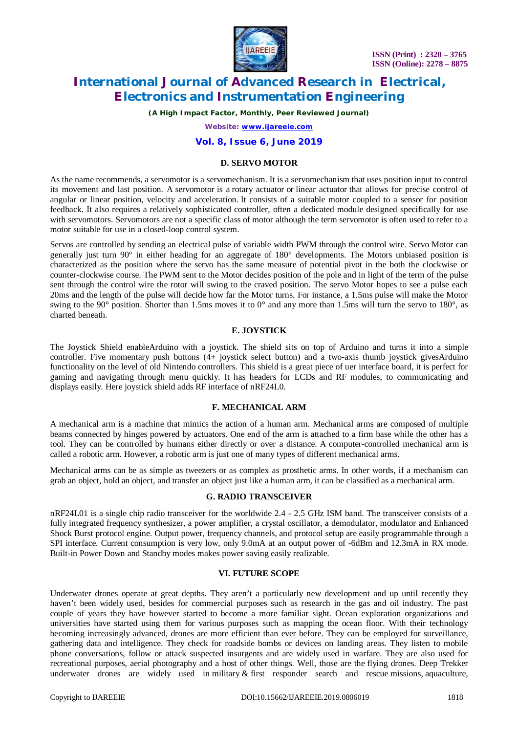

*(A High Impact Factor, Monthly, Peer Reviewed Journal)*

*Website: [www.ijareeie.com](http://www.ijareeie.com)*

### **Vol. 8, Issue 6, June 2019**

### **D. SERVO MOTOR**

As the name recommends, a servomotor is a servomechanism. It is a servomechanism that uses position input to control its movement and last position. A servomotor is a rotary actuator or linear actuator that allows for precise control of angular or linear position, velocity and acceleration. It consists of a suitable motor coupled to a sensor for position feedback. It also requires a relatively sophisticated controller, often a dedicated module designed specifically for use with servomotors. Servomotors are not a specific class of motor although the term servomotor is often used to refer to a motor suitable for use in a closed-loop control system.

Servos are controlled by sending an electrical pulse of variable width PWM through the control wire. Servo Motor can generally just turn 90° in either heading for an aggregate of 180° developments. The Motors unbiased position is characterized as the position where the servo has the same measure of potential pivot in the both the clockwise or counter-clockwise course. The PWM sent to the Motor decides position of the pole and in light of the term of the pulse sent through the control wire the rotor will swing to the craved position. The servo Motor hopes to see a pulse each 20ms and the length of the pulse will decide how far the Motor turns. For instance, a 1.5ms pulse will make the Motor swing to the 90 $^{\circ}$  position. Shorter than 1.5ms moves it to 0 $^{\circ}$  and any more than 1.5ms will turn the servo to 180 $^{\circ}$ , as charted beneath.

### **E. JOYSTICK**

The Joystick Shield enableArduino with a joystick. The shield sits on top of Arduino and turns it into a simple controller. Five momentary push buttons (4+ joystick select button) and a two-axis thumb joystick givesArduino functionality on the level of old Nintendo controllers. This shield is a great piece of uer interface board, it is perfect for gaming and navigating through menu quickly. It has headers for LCDs and RF modules, to communicating and displays easily. Here joystick shield adds RF interface of nRF24L0.

### **F. MECHANICAL ARM**

A mechanical arm is a machine that mimics the action of a human arm. Mechanical arms are composed of multiple beams connected by hinges powered by actuators. One end of the arm is attached to a firm base while the other has a tool. They can be controlled by humans either directly or over a distance. A computer-controlled mechanical arm is called a robotic arm. However, a robotic arm is just one of many types of different mechanical arms.

Mechanical arms can be as simple as tweezers or as complex as prosthetic arms. In other words, if a mechanism can grab an object, hold an object, and transfer an object just like a human arm, it can be classified as a mechanical arm.

### **G. RADIO TRANSCEIVER**

nRF24L01 is a single chip radio transceiver for the worldwide 2.4 - 2.5 GHz ISM band. The transceiver consists of a fully integrated frequency synthesizer, a power amplifier, a crystal oscillator, a demodulator, modulator and Enhanced Shock Burst protocol engine. Output power, frequency channels, and protocol setup are easily programmable through a SPI interface. Current consumption is very low, only 9.0mA at an output power of -6dBm and 12.3mA in RX mode. Built-in Power Down and Standby modes makes power saving easily realizable.

#### **VI. FUTURE SCOPE**

Underwater drones operate at great depths. They aren't a particularly new development and up until recently they haven't been widely used, besides for commercial purposes such as research in the gas and oil industry. The past couple of years they have however started to become a more familiar sight. Ocean exploration organizations and universities have started using them for various purposes such as mapping the ocean floor. With their technology becoming increasingly advanced, drones are more efficient than ever before. They can be employed for surveillance, gathering data and intelligence. They check for roadside bombs or devices on landing areas. They listen to mobile phone conversations, follow or attack suspected insurgents and are widely used in warfare. They are also used for recreational purposes, aerial photography and a host of other things. Well, those are the flying drones. Deep Trekker underwater drones are widely used in military & first responder search and rescue missions, aquaculture,